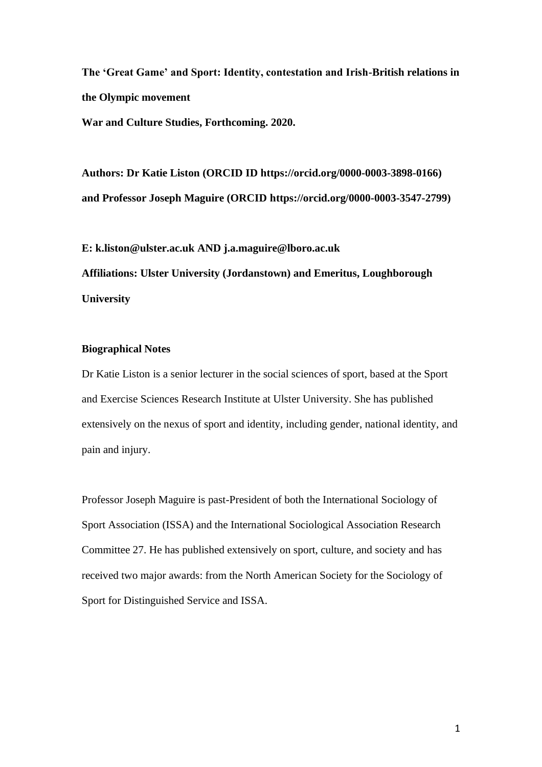**The 'Great Game' and Sport: Identity, contestation and Irish-British relations in the Olympic movement**

**War and Culture Studies, Forthcoming. 2020.** 

**Authors: Dr Katie Liston (ORCID ID https://orcid.org/0000-0003-3898-0166) and Professor Joseph Maguire (ORCID https://orcid.org/0000-0003-3547-2799)**

**E: k.liston@ulster.ac.uk AND j.a.maguire@lboro.ac.uk Affiliations: Ulster University (Jordanstown) and Emeritus, Loughborough University**

# **Biographical Notes**

Dr Katie Liston is a senior lecturer in the social sciences of sport, based at the Sport and Exercise Sciences Research Institute at Ulster University. She has published extensively on the nexus of sport and identity, including gender, national identity, and pain and injury.

Professor Joseph Maguire is past-President of both the International Sociology of Sport Association (ISSA) and the International Sociological Association Research Committee 27. He has published extensively on sport, culture, and society and has received two major awards: from the North American Society for the Sociology of Sport for Distinguished Service and ISSA.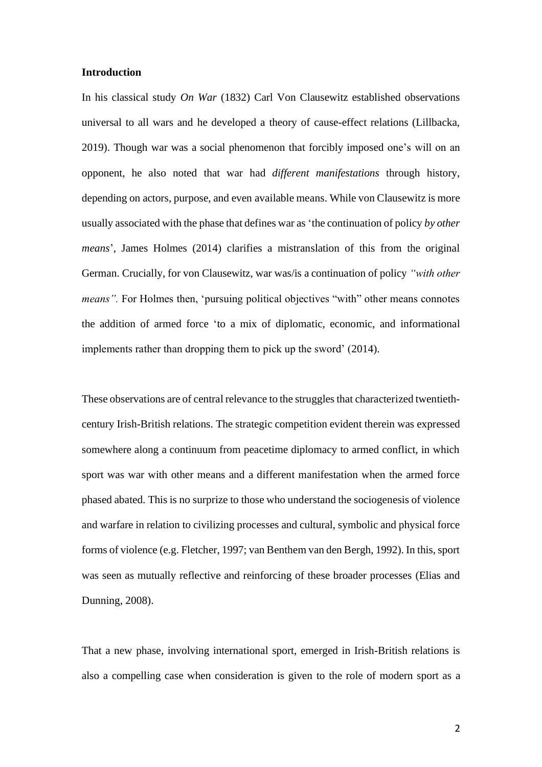#### **Introduction**

In his classical study *On War* (1832) Carl Von Clausewitz established observations universal to all wars and he developed a theory of cause-effect relations (Lillbacka, 2019). Though war was a social phenomenon that forcibly imposed one's will on an opponent, he also noted that war had *different manifestations* through history, depending on actors, purpose, and even available means. While von Clausewitz is more usually associated with the phase that defines war as 'the continuation of policy *by other means*', James Holmes (2014) clarifies a mistranslation of this from the original German. Crucially, for von Clausewitz, war was/is a continuation of policy *"with other means*". For Holmes then, 'pursuing political objectives "with" other means connotes the addition of armed force 'to a mix of diplomatic, economic, and informational implements rather than dropping them to pick up the sword' (2014).

These observations are of central relevance to the struggles that characterized twentiethcentury Irish-British relations. The strategic competition evident therein was expressed somewhere along a continuum from peacetime diplomacy to armed conflict, in which sport was war with other means and a different manifestation when the armed force phased abated. This is no surprize to those who understand the sociogenesis of violence and warfare in relation to civilizing processes and cultural, symbolic and physical force forms of violence (e.g. Fletcher, 1997; van Benthem van den Bergh, 1992). In this, sport was seen as mutually reflective and reinforcing of these broader processes (Elias and Dunning, 2008).

That a new phase, involving international sport, emerged in Irish-British relations is also a compelling case when consideration is given to the role of modern sport as a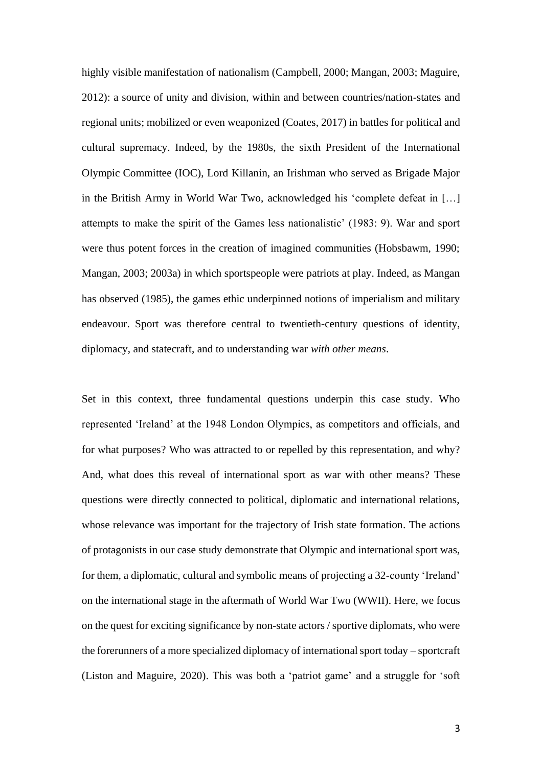highly visible manifestation of nationalism (Campbell, 2000; Mangan, 2003; Maguire, 2012): a source of unity and division, within and between countries/nation-states and regional units; mobilized or even weaponized (Coates, 2017) in battles for political and cultural supremacy. Indeed, by the 1980s, the sixth President of the International Olympic Committee (IOC), Lord Killanin, an Irishman who served as Brigade Major in the British Army in World War Two, acknowledged his 'complete defeat in […] attempts to make the spirit of the Games less nationalistic' (1983: 9). War and sport were thus potent forces in the creation of imagined communities (Hobsbawm, 1990; Mangan, 2003; 2003a) in which sportspeople were patriots at play. Indeed, as Mangan has observed (1985), the games ethic underpinned notions of imperialism and military endeavour. Sport was therefore central to twentieth-century questions of identity, diplomacy, and statecraft, and to understanding war *with other means*.

Set in this context, three fundamental questions underpin this case study. Who represented 'Ireland' at the 1948 London Olympics, as competitors and officials, and for what purposes? Who was attracted to or repelled by this representation, and why? And, what does this reveal of international sport as war with other means? These questions were directly connected to political, diplomatic and international relations, whose relevance was important for the trajectory of Irish state formation. The actions of protagonists in our case study demonstrate that Olympic and international sport was, for them, a diplomatic, cultural and symbolic means of projecting a 32-county 'Ireland' on the international stage in the aftermath of World War Two (WWII). Here, we focus on the quest for exciting significance by non-state actors / sportive diplomats, who were the forerunners of a more specialized diplomacy of international sport today – sportcraft (Liston and Maguire, 2020). This was both a 'patriot game' and a struggle for 'soft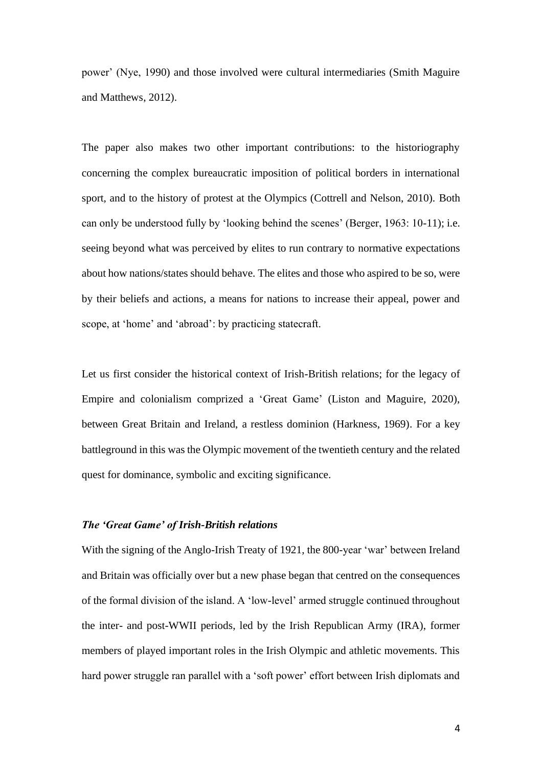power' (Nye, 1990) and those involved were cultural intermediaries (Smith Maguire and Matthews, 2012).

The paper also makes two other important contributions: to the historiography concerning the complex bureaucratic imposition of political borders in international sport, and to the history of protest at the Olympics (Cottrell and Nelson, 2010). Both can only be understood fully by 'looking behind the scenes' (Berger, 1963: 10-11); i.e. seeing beyond what was perceived by elites to run contrary to normative expectations about how nations/states should behave. The elites and those who aspired to be so, were by their beliefs and actions, a means for nations to increase their appeal, power and scope, at 'home' and 'abroad': by practicing statecraft.

Let us first consider the historical context of Irish-British relations; for the legacy of Empire and colonialism comprized a 'Great Game' (Liston and Maguire, 2020), between Great Britain and Ireland, a restless dominion (Harkness, 1969). For a key battleground in this was the Olympic movement of the twentieth century and the related quest for dominance, symbolic and exciting significance.

# *The 'Great Game' of Irish-British relations*

With the signing of the Anglo-Irish Treaty of 1921, the 800-year 'war' between Ireland and Britain was officially over but a new phase began that centred on the consequences of the formal division of the island. A 'low-level' armed struggle continued throughout the inter- and post-WWII periods, led by the Irish Republican Army (IRA), former members of played important roles in the Irish Olympic and athletic movements. This hard power struggle ran parallel with a 'soft power' effort between Irish diplomats and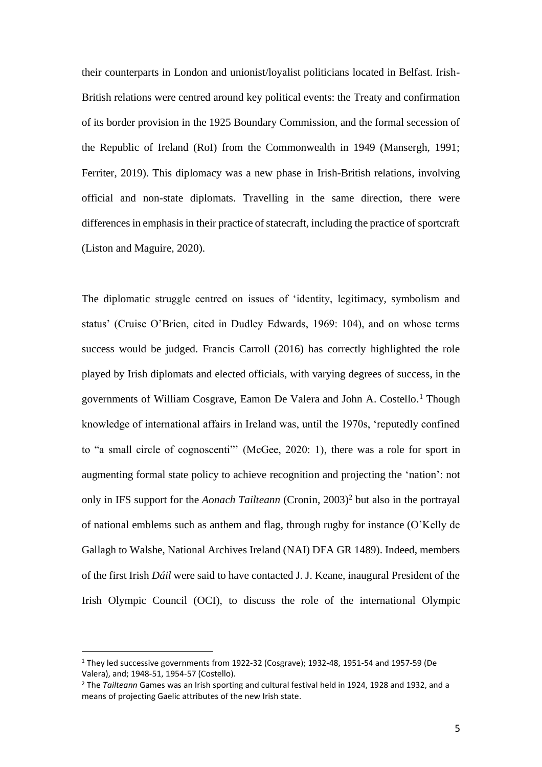their counterparts in London and unionist/loyalist politicians located in Belfast. Irish-British relations were centred around key political events: the Treaty and confirmation of its border provision in the 1925 Boundary Commission, and the formal secession of the Republic of Ireland (RoI) from the Commonwealth in 1949 (Mansergh, 1991; Ferriter, 2019). This diplomacy was a new phase in Irish-British relations, involving official and non-state diplomats. Travelling in the same direction, there were differences in emphasis in their practice of statecraft, including the practice of sportcraft (Liston and Maguire, 2020).

The diplomatic struggle centred on issues of 'identity, legitimacy, symbolism and status' (Cruise O'Brien, cited in Dudley Edwards, 1969: 104), and on whose terms success would be judged. Francis Carroll (2016) has correctly highlighted the role played by Irish diplomats and elected officials, with varying degrees of success, in the governments of William Cosgrave, Eamon De Valera and John A. Costello. <sup>1</sup> Though knowledge of international affairs in Ireland was, until the 1970s, 'reputedly confined to "a small circle of cognoscenti"' (McGee, 2020: 1), there was a role for sport in augmenting formal state policy to achieve recognition and projecting the 'nation': not only in IFS support for the *Aonach Tailteann* (Cronin, 2003)<sup>2</sup> but also in the portrayal of national emblems such as anthem and flag, through rugby for instance (O'Kelly de Gallagh to Walshe, National Archives Ireland (NAI) DFA GR 1489). Indeed, members of the first Irish *Dáil* were said to have contacted J. J. Keane, inaugural President of the Irish Olympic Council (OCI), to discuss the role of the international Olympic

<sup>1</sup> They led successive governments from 1922-32 (Cosgrave); 1932-48, 1951-54 and 1957-59 (De Valera), and; 1948-51, 1954-57 (Costello).

<sup>2</sup> The *Tailteann* Games was an Irish sporting and cultural festival held in 1924, 1928 and 1932, and a means of projecting Gaelic attributes of the new Irish state.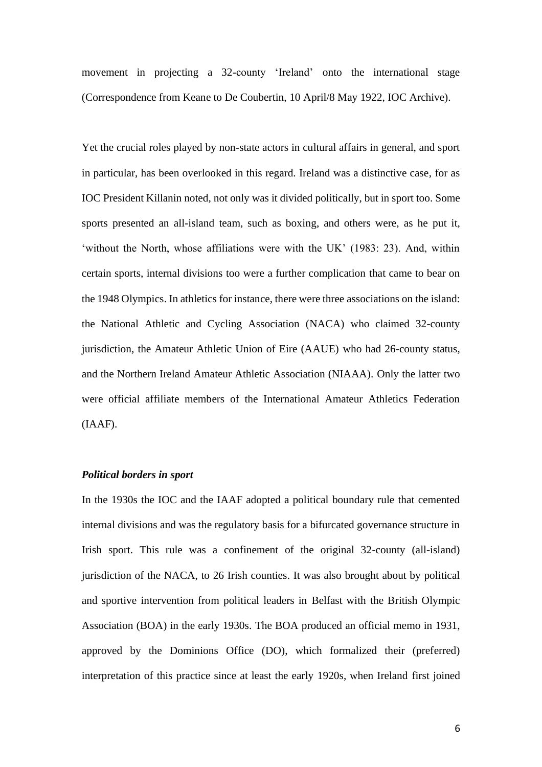movement in projecting a 32-county 'Ireland' onto the international stage (Correspondence from Keane to De Coubertin, 10 April/8 May 1922, IOC Archive).

Yet the crucial roles played by non-state actors in cultural affairs in general, and sport in particular, has been overlooked in this regard. Ireland was a distinctive case, for as IOC President Killanin noted, not only was it divided politically, but in sport too. Some sports presented an all-island team, such as boxing, and others were, as he put it, 'without the North, whose affiliations were with the UK' (1983: 23). And, within certain sports, internal divisions too were a further complication that came to bear on the 1948 Olympics. In athletics for instance, there were three associations on the island: the National Athletic and Cycling Association (NACA) who claimed 32-county jurisdiction, the Amateur Athletic Union of Eire (AAUE) who had 26-county status, and the Northern Ireland Amateur Athletic Association (NIAAA). Only the latter two were official affiliate members of the International Amateur Athletics Federation (IAAF).

# *Political borders in sport*

In the 1930s the IOC and the IAAF adopted a political boundary rule that cemented internal divisions and was the regulatory basis for a bifurcated governance structure in Irish sport. This rule was a confinement of the original 32-county (all-island) jurisdiction of the NACA, to 26 Irish counties. It was also brought about by political and sportive intervention from political leaders in Belfast with the British Olympic Association (BOA) in the early 1930s. The BOA produced an official memo in 1931, approved by the Dominions Office (DO), which formalized their (preferred) interpretation of this practice since at least the early 1920s, when Ireland first joined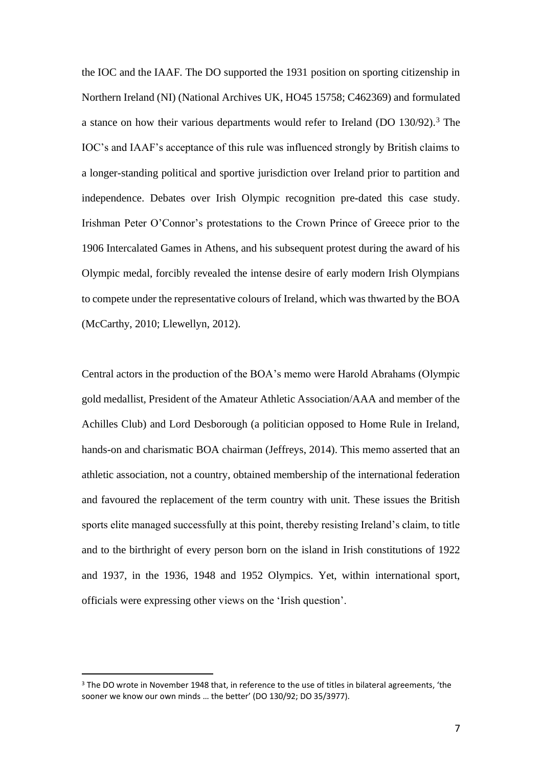the IOC and the IAAF. The DO supported the 1931 position on sporting citizenship in Northern Ireland (NI) (National Archives UK, HO45 15758; C462369) and formulated a stance on how their various departments would refer to Ireland (DO  $130/92$ ).<sup>3</sup> The IOC's and IAAF's acceptance of this rule was influenced strongly by British claims to a longer-standing political and sportive jurisdiction over Ireland prior to partition and independence. Debates over Irish Olympic recognition pre-dated this case study. Irishman Peter O'Connor's protestations to the Crown Prince of Greece prior to the 1906 Intercalated Games in Athens, and his subsequent protest during the award of his Olympic medal, forcibly revealed the intense desire of early modern Irish Olympians to compete under the representative colours of Ireland, which was thwarted by the BOA (McCarthy, 2010; Llewellyn, 2012).

Central actors in the production of the BOA's memo were Harold Abrahams (Olympic gold medallist, President of the Amateur Athletic Association/AAA and member of the Achilles Club) and Lord Desborough (a politician opposed to Home Rule in Ireland, hands-on and charismatic BOA chairman (Jeffreys, 2014). This memo asserted that an athletic association, not a country, obtained membership of the international federation and favoured the replacement of the term country with unit. These issues the British sports elite managed successfully at this point, thereby resisting Ireland's claim, to title and to the birthright of every person born on the island in Irish constitutions of 1922 and 1937, in the 1936, 1948 and 1952 Olympics. Yet, within international sport, officials were expressing other views on the 'Irish question'.

<sup>3</sup> The DO wrote in November 1948 that, in reference to the use of titles in bilateral agreements, 'the sooner we know our own minds … the better' (DO 130/92; DO 35/3977).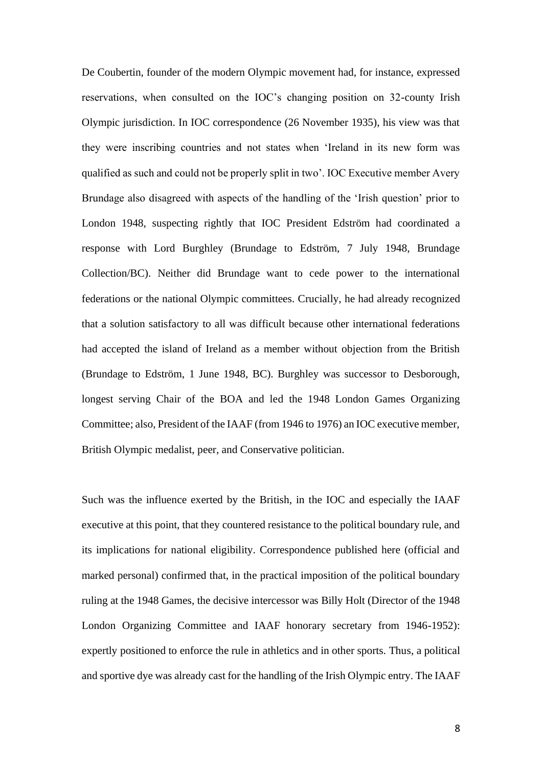De Coubertin, founder of the modern Olympic movement had, for instance, expressed reservations, when consulted on the IOC's changing position on 32-county Irish Olympic jurisdiction. In IOC correspondence (26 November 1935), his view was that they were inscribing countries and not states when 'Ireland in its new form was qualified as such and could not be properly split in two'. IOC Executive member Avery Brundage also disagreed with aspects of the handling of the 'Irish question' prior to London 1948, suspecting rightly that IOC President Edström had coordinated a response with Lord Burghley (Brundage to Edström, 7 July 1948, Brundage Collection/BC). Neither did Brundage want to cede power to the international federations or the national Olympic committees. Crucially, he had already recognized that a solution satisfactory to all was difficult because other international federations had accepted the island of Ireland as a member without objection from the British (Brundage to Edström, 1 June 1948, BC). Burghley was successor to Desborough, longest serving Chair of the BOA and led the 1948 London Games Organizing Committee; also, President of the IAAF (from 1946 to 1976) an IOC executive member, British Olympic medalist, peer, and Conservative politician.

Such was the influence exerted by the British, in the IOC and especially the IAAF executive at this point, that they countered resistance to the political boundary rule, and its implications for national eligibility. Correspondence published here (official and marked personal) confirmed that, in the practical imposition of the political boundary ruling at the 1948 Games, the decisive intercessor was Billy Holt (Director of the 1948 London Organizing Committee and IAAF honorary secretary from 1946-1952): expertly positioned to enforce the rule in athletics and in other sports. Thus, a political and sportive dye was already cast for the handling of the Irish Olympic entry. The IAAF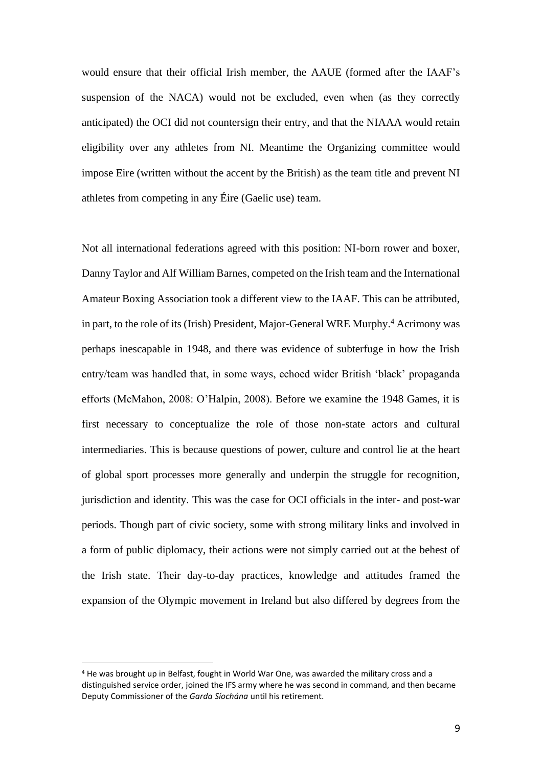would ensure that their official Irish member, the AAUE (formed after the IAAF's suspension of the NACA) would not be excluded, even when (as they correctly anticipated) the OCI did not countersign their entry, and that the NIAAA would retain eligibility over any athletes from NI. Meantime the Organizing committee would impose Eire (written without the accent by the British) as the team title and prevent NI athletes from competing in any Éire (Gaelic use) team.

Not all international federations agreed with this position: NI-born rower and boxer, Danny Taylor and Alf William Barnes, competed on the Irish team and the International Amateur Boxing Association took a different view to the IAAF. This can be attributed, in part, to the role of its (Irish) President, Major-General WRE Murphy.<sup>4</sup> Acrimony was perhaps inescapable in 1948, and there was evidence of subterfuge in how the Irish entry/team was handled that, in some ways, echoed wider British 'black' propaganda efforts (McMahon, 2008: O'Halpin, 2008). Before we examine the 1948 Games, it is first necessary to conceptualize the role of those non-state actors and cultural intermediaries. This is because questions of power, culture and control lie at the heart of global sport processes more generally and underpin the struggle for recognition, jurisdiction and identity. This was the case for OCI officials in the inter- and post-war periods. Though part of civic society, some with strong military links and involved in a form of public diplomacy, their actions were not simply carried out at the behest of the Irish state. Their day-to-day practices, knowledge and attitudes framed the expansion of the Olympic movement in Ireland but also differed by degrees from the

<sup>4</sup> He was brought up in Belfast, fought in World War One, was awarded the military cross and a distinguished service order, joined the IFS army where he was second in command, and then became Deputy Commissioner of the *Garda Síochána* until his retirement.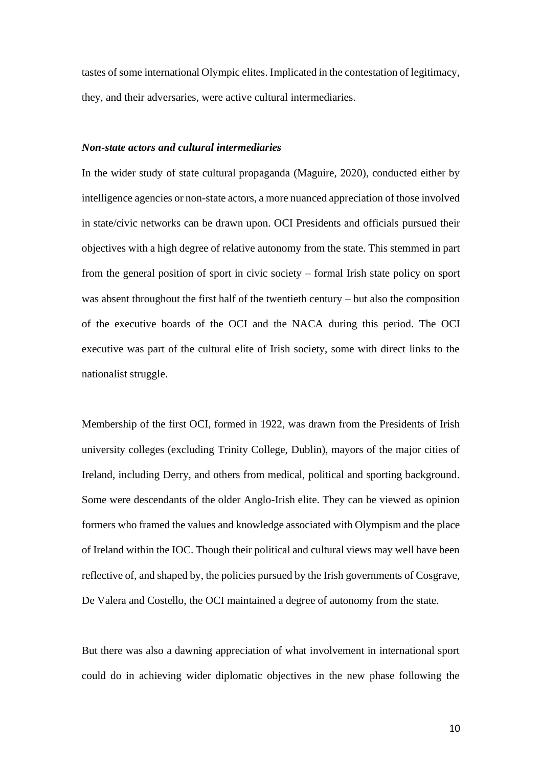tastes of some international Olympic elites. Implicated in the contestation of legitimacy, they, and their adversaries, were active cultural intermediaries.

# *Non-state actors and cultural intermediaries*

In the wider study of state cultural propaganda (Maguire, 2020), conducted either by intelligence agencies or non-state actors, a more nuanced appreciation of those involved in state/civic networks can be drawn upon. OCI Presidents and officials pursued their objectives with a high degree of relative autonomy from the state. This stemmed in part from the general position of sport in civic society – formal Irish state policy on sport was absent throughout the first half of the twentieth century – but also the composition of the executive boards of the OCI and the NACA during this period. The OCI executive was part of the cultural elite of Irish society, some with direct links to the nationalist struggle.

Membership of the first OCI, formed in 1922, was drawn from the Presidents of Irish university colleges (excluding Trinity College, Dublin), mayors of the major cities of Ireland, including Derry, and others from medical, political and sporting background. Some were descendants of the older Anglo-Irish elite. They can be viewed as opinion formers who framed the values and knowledge associated with Olympism and the place of Ireland within the IOC. Though their political and cultural views may well have been reflective of, and shaped by, the policies pursued by the Irish governments of Cosgrave, De Valera and Costello, the OCI maintained a degree of autonomy from the state.

But there was also a dawning appreciation of what involvement in international sport could do in achieving wider diplomatic objectives in the new phase following the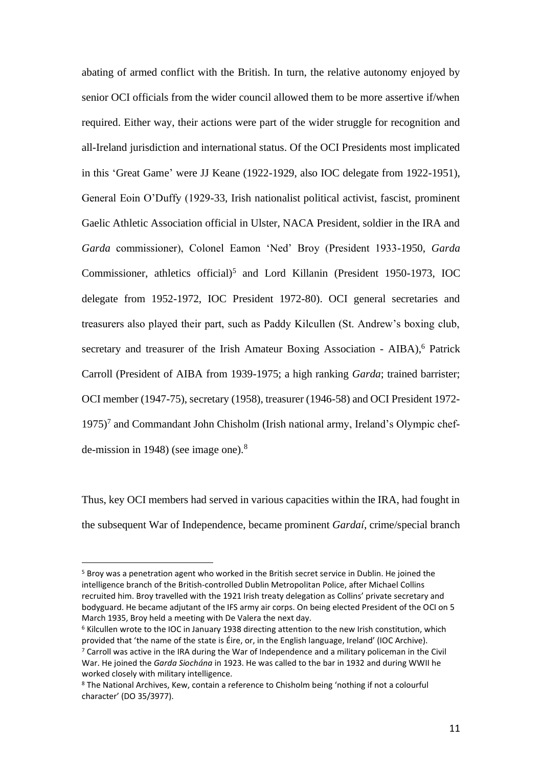abating of armed conflict with the British. In turn, the relative autonomy enjoyed by senior OCI officials from the wider council allowed them to be more assertive if/when required. Either way, their actions were part of the wider struggle for recognition and all-Ireland jurisdiction and international status. Of the OCI Presidents most implicated in this 'Great Game' were JJ Keane (1922-1929, also IOC delegate from 1922-1951), General Eoin O'Duffy (1929-33, Irish nationalist political activist, fascist, prominent Gaelic Athletic Association official in Ulster, NACA President, soldier in the IRA and *Garda* commissioner), Colonel Eamon 'Ned' Broy (President 1933-1950, *Garda* Commissioner, athletics official) 5 and Lord Killanin (President 1950-1973, IOC delegate from 1952-1972, IOC President 1972-80). OCI general secretaries and treasurers also played their part, such as Paddy Kilcullen (St. Andrew's boxing club, secretary and treasurer of the Irish Amateur Boxing Association - AIBA),<sup>6</sup> Patrick Carroll (President of AIBA from 1939-1975; a high ranking *Garda*; trained barrister; OCI member (1947-75), secretary (1958), treasurer (1946-58) and OCI President 1972- 1975)<sup>7</sup> and Commandant John Chisholm (Irish national army, Ireland's Olympic chefde-mission in 1948) (see image one). $8$ 

Thus, key OCI members had served in various capacities within the IRA, had fought in the subsequent War of Independence, became prominent *Gardaí*, crime/special branch

<sup>5</sup> Broy was a penetration agent who worked in the British secret service in Dublin. He joined the intelligence branch of the British-controlled Dublin Metropolitan Police, after Michael Collins recruited him. Broy travelled with the 1921 Irish treaty delegation as Collins' private secretary and bodyguard. He became adjutant of the IFS army air corps. On being elected President of the OCI on 5 March 1935, Broy held a meeting with De Valera the next day.

<sup>6</sup> Kilcullen wrote to the IOC in January 1938 directing attention to the new Irish constitution, which provided that 'the name of the state is Éire, or, in the English language, Ireland' (IOC Archive).

 $7$  Carroll was active in the IRA during the War of Independence and a military policeman in the Civil War. He joined the *Garda Siochána* in 1923. He was called to the bar in 1932 and during WWII he worked closely with military intelligence.

<sup>8</sup> The National Archives, Kew, contain a reference to Chisholm being 'nothing if not a colourful character' (DO 35/3977).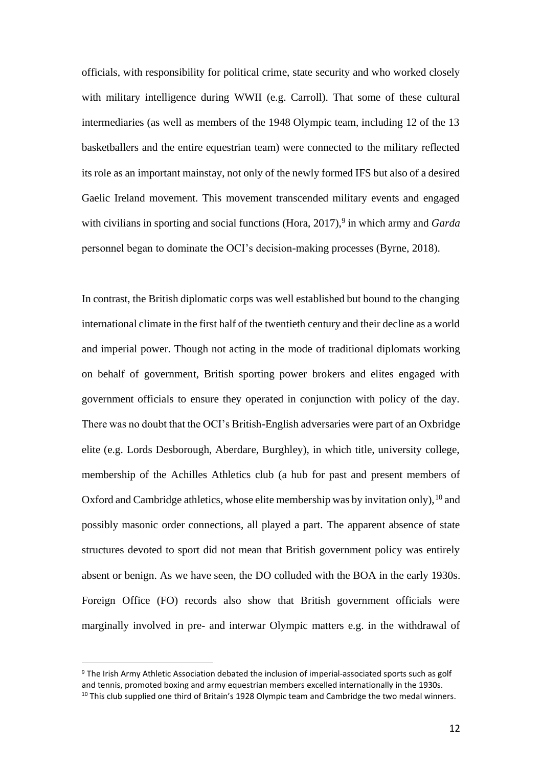officials, with responsibility for political crime, state security and who worked closely with military intelligence during WWII (e.g. Carroll). That some of these cultural intermediaries (as well as members of the 1948 Olympic team, including 12 of the 13 basketballers and the entire equestrian team) were connected to the military reflected its role as an important mainstay, not only of the newly formed IFS but also of a desired Gaelic Ireland movement. This movement transcended military events and engaged with civilians in sporting and social functions (Hora, 2017),<sup>9</sup> in which army and *Garda* personnel began to dominate the OCI's decision-making processes (Byrne, 2018).

In contrast, the British diplomatic corps was well established but bound to the changing international climate in the first half of the twentieth century and their decline as a world and imperial power. Though not acting in the mode of traditional diplomats working on behalf of government, British sporting power brokers and elites engaged with government officials to ensure they operated in conjunction with policy of the day. There was no doubt that the OCI's British-English adversaries were part of an Oxbridge elite (e.g. Lords Desborough, Aberdare, Burghley), in which title, university college, membership of the Achilles Athletics club (a hub for past and present members of Oxford and Cambridge athletics, whose elite membership was by invitation only),  $10$  and possibly masonic order connections, all played a part. The apparent absence of state structures devoted to sport did not mean that British government policy was entirely absent or benign. As we have seen, the DO colluded with the BOA in the early 1930s. Foreign Office (FO) records also show that British government officials were marginally involved in pre- and interwar Olympic matters e.g. in the withdrawal of

<sup>9</sup> The Irish Army Athletic Association debated the inclusion of imperial-associated sports such as golf and tennis, promoted boxing and army equestrian members excelled internationally in the 1930s. <sup>10</sup> This club supplied one third of Britain's 1928 Olympic team and Cambridge the two medal winners.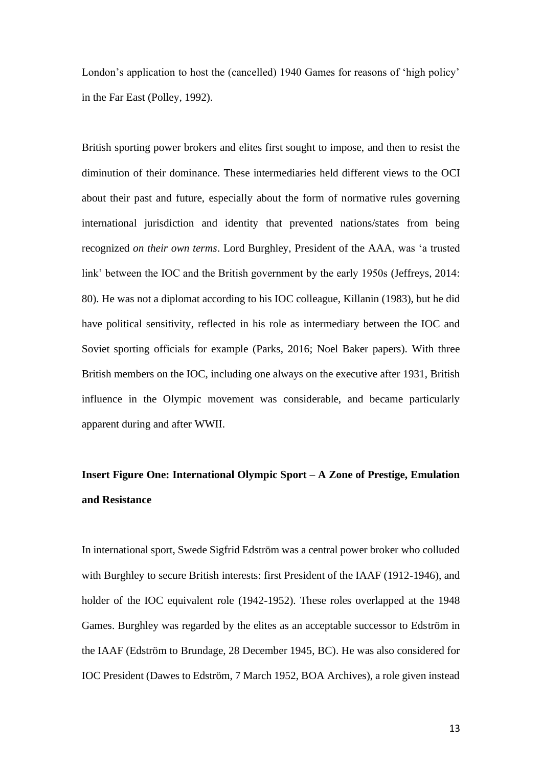London's application to host the (cancelled) 1940 Games for reasons of 'high policy' in the Far East (Polley, 1992).

British sporting power brokers and elites first sought to impose, and then to resist the diminution of their dominance. These intermediaries held different views to the OCI about their past and future, especially about the form of normative rules governing international jurisdiction and identity that prevented nations/states from being recognized *on their own terms*. Lord Burghley, President of the AAA, was 'a trusted link' between the IOC and the British government by the early 1950s (Jeffreys, 2014: 80). He was not a diplomat according to his IOC colleague, Killanin (1983), but he did have political sensitivity, reflected in his role as intermediary between the IOC and Soviet sporting officials for example (Parks, 2016; Noel Baker papers). With three British members on the IOC, including one always on the executive after 1931, British influence in the Olympic movement was considerable, and became particularly apparent during and after WWII.

# **Insert Figure One: International Olympic Sport – A Zone of Prestige, Emulation and Resistance**

In international sport, Swede Sigfrid Edström was a central power broker who colluded with Burghley to secure British interests: first President of the IAAF (1912-1946), and holder of the IOC equivalent role (1942-1952). These roles overlapped at the 1948 Games. Burghley was regarded by the elites as an acceptable successor to Edström in the IAAF (Edström to Brundage, 28 December 1945, BC). He was also considered for IOC President (Dawes to Edström, 7 March 1952, BOA Archives), a role given instead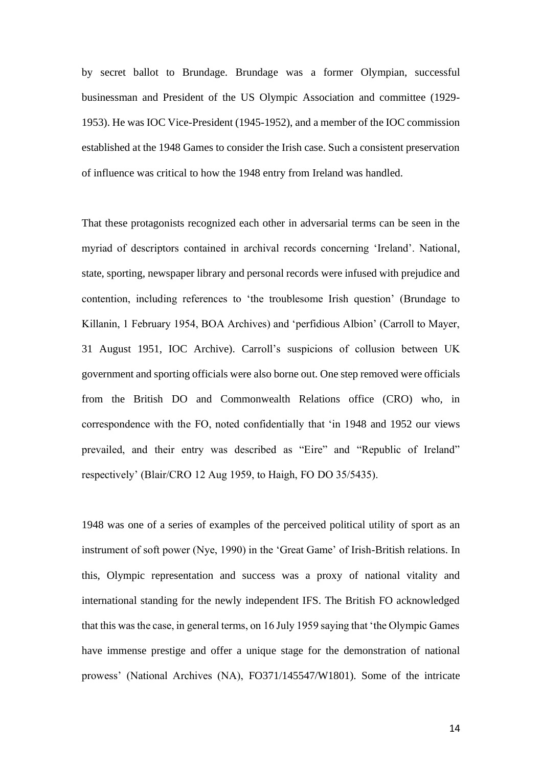by secret ballot to Brundage. Brundage was a former Olympian, successful businessman and President of the US Olympic Association and committee (1929- 1953). He was IOC Vice-President (1945-1952), and a member of the IOC commission established at the 1948 Games to consider the Irish case. Such a consistent preservation of influence was critical to how the 1948 entry from Ireland was handled.

That these protagonists recognized each other in adversarial terms can be seen in the myriad of descriptors contained in archival records concerning 'Ireland'. National, state, sporting, newspaper library and personal records were infused with prejudice and contention, including references to 'the troublesome Irish question' (Brundage to Killanin, 1 February 1954, BOA Archives) and 'perfidious Albion' (Carroll to Mayer, 31 August 1951, IOC Archive). Carroll's suspicions of collusion between UK government and sporting officials were also borne out. One step removed were officials from the British DO and Commonwealth Relations office (CRO) who, in correspondence with the FO, noted confidentially that 'in 1948 and 1952 our views prevailed, and their entry was described as "Eire" and "Republic of Ireland" respectively' (Blair/CRO 12 Aug 1959, to Haigh, FO DO 35/5435).

1948 was one of a series of examples of the perceived political utility of sport as an instrument of soft power (Nye, 1990) in the 'Great Game' of Irish-British relations. In this, Olympic representation and success was a proxy of national vitality and international standing for the newly independent IFS. The British FO acknowledged that this was the case, in general terms, on 16 July 1959 saying that 'the Olympic Games have immense prestige and offer a unique stage for the demonstration of national prowess' (National Archives (NA), FO371/145547/W1801). Some of the intricate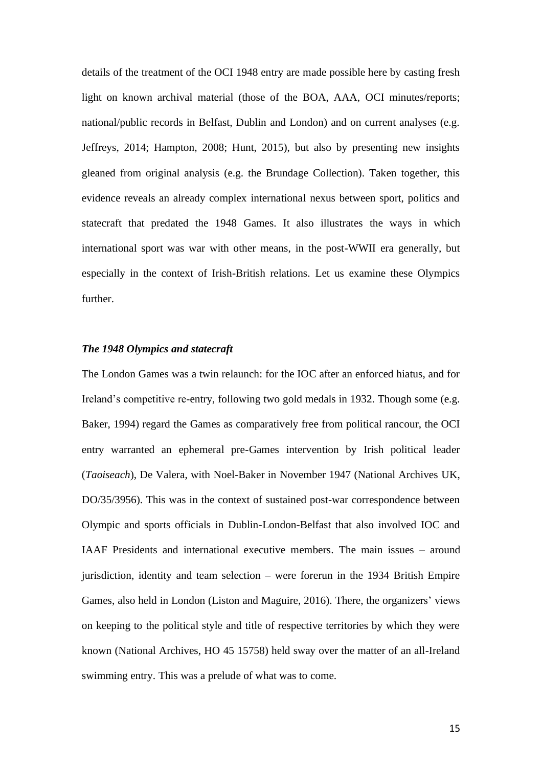details of the treatment of the OCI 1948 entry are made possible here by casting fresh light on known archival material (those of the BOA, AAA, OCI minutes/reports; national/public records in Belfast, Dublin and London) and on current analyses (e.g. Jeffreys, 2014; Hampton, 2008; Hunt, 2015), but also by presenting new insights gleaned from original analysis (e.g. the Brundage Collection). Taken together, this evidence reveals an already complex international nexus between sport, politics and statecraft that predated the 1948 Games. It also illustrates the ways in which international sport was war with other means, in the post-WWII era generally, but especially in the context of Irish-British relations. Let us examine these Olympics further.

# *The 1948 Olympics and statecraft*

The London Games was a twin relaunch: for the IOC after an enforced hiatus, and for Ireland's competitive re-entry, following two gold medals in 1932. Though some (e.g. Baker, 1994) regard the Games as comparatively free from political rancour, the OCI entry warranted an ephemeral pre-Games intervention by Irish political leader (*Taoiseach*), De Valera, with Noel-Baker in November 1947 (National Archives UK, DO/35/3956). This was in the context of sustained post-war correspondence between Olympic and sports officials in Dublin-London-Belfast that also involved IOC and IAAF Presidents and international executive members. The main issues – around jurisdiction, identity and team selection – were forerun in the 1934 British Empire Games, also held in London (Liston and Maguire, 2016). There, the organizers' views on keeping to the political style and title of respective territories by which they were known (National Archives, HO 45 15758) held sway over the matter of an all-Ireland swimming entry. This was a prelude of what was to come.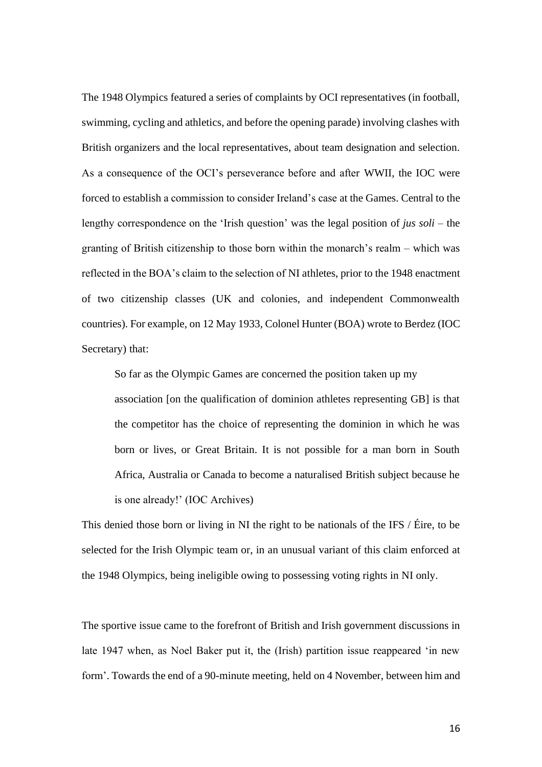The 1948 Olympics featured a series of complaints by OCI representatives (in football, swimming, cycling and athletics, and before the opening parade) involving clashes with British organizers and the local representatives, about team designation and selection. As a consequence of the OCI's perseverance before and after WWII, the IOC were forced to establish a commission to consider Ireland's case at the Games. Central to the lengthy correspondence on the 'Irish question' was the legal position of *jus soli* – the granting of British citizenship to those born within the monarch's realm – which was reflected in the BOA's claim to the selection of NI athletes, prior to the 1948 enactment of two citizenship classes (UK and colonies, and independent Commonwealth countries). For example, on 12 May 1933, Colonel Hunter (BOA) wrote to Berdez (IOC Secretary) that:

So far as the Olympic Games are concerned the position taken up my association [on the qualification of dominion athletes representing GB] is that the competitor has the choice of representing the dominion in which he was born or lives, or Great Britain. It is not possible for a man born in South Africa, Australia or Canada to become a naturalised British subject because he is one already!' (IOC Archives)

This denied those born or living in NI the right to be nationals of the IFS / Éire, to be selected for the Irish Olympic team or, in an unusual variant of this claim enforced at the 1948 Olympics, being ineligible owing to possessing voting rights in NI only.

The sportive issue came to the forefront of British and Irish government discussions in late 1947 when, as Noel Baker put it, the (Irish) partition issue reappeared 'in new form'. Towards the end of a 90-minute meeting, held on 4 November, between him and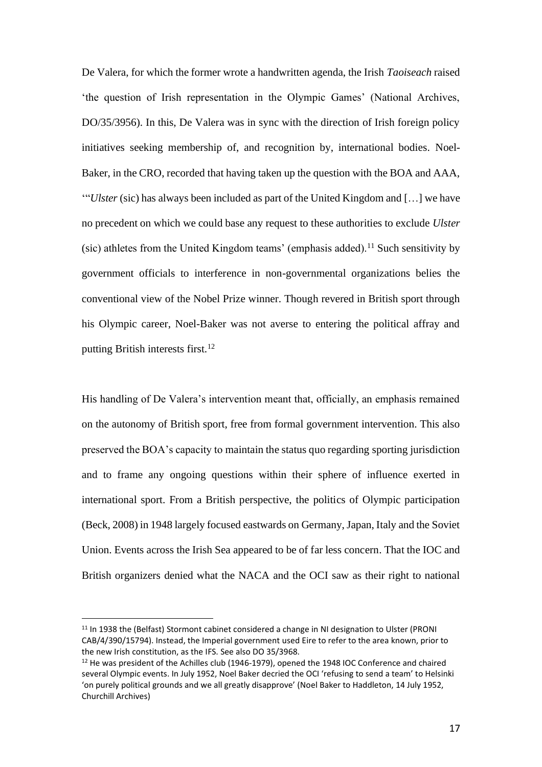De Valera, for which the former wrote a handwritten agenda, the Irish *Taoiseach* raised 'the question of Irish representation in the Olympic Games' (National Archives, DO/35/3956). In this, De Valera was in sync with the direction of Irish foreign policy initiatives seeking membership of, and recognition by, international bodies. Noel-Baker, in the CRO, recorded that having taken up the question with the BOA and AAA, '"*Ulster* (sic) has always been included as part of the United Kingdom and […] we have no precedent on which we could base any request to these authorities to exclude *Ulster* (sic) athletes from the United Kingdom teams' (emphasis added).<sup>11</sup> Such sensitivity by government officials to interference in non-governmental organizations belies the conventional view of the Nobel Prize winner. Though revered in British sport through his Olympic career, Noel-Baker was not averse to entering the political affray and putting British interests first.<sup>12</sup>

His handling of De Valera's intervention meant that, officially, an emphasis remained on the autonomy of British sport, free from formal government intervention. This also preserved the BOA's capacity to maintain the status quo regarding sporting jurisdiction and to frame any ongoing questions within their sphere of influence exerted in international sport. From a British perspective, the politics of Olympic participation (Beck, 2008) in 1948 largely focused eastwards on Germany, Japan, Italy and the Soviet Union. Events across the Irish Sea appeared to be of far less concern. That the IOC and British organizers denied what the NACA and the OCI saw as their right to national

<sup>&</sup>lt;sup>11</sup> In 1938 the (Belfast) Stormont cabinet considered a change in NI designation to Ulster (PRONI CAB/4/390/15794). Instead, the Imperial government used Eire to refer to the area known, prior to the new Irish constitution, as the IFS. See also DO 35/3968.

<sup>&</sup>lt;sup>12</sup> He was president of the Achilles club (1946-1979), opened the 1948 IOC Conference and chaired several Olympic events. In July 1952, Noel Baker decried the OCI 'refusing to send a team' to Helsinki 'on purely political grounds and we all greatly disapprove' (Noel Baker to Haddleton, 14 July 1952, Churchill Archives)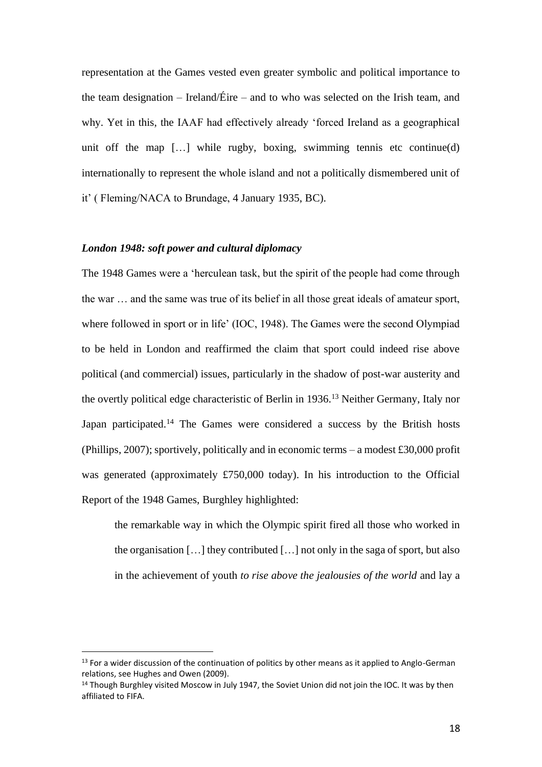representation at the Games vested even greater symbolic and political importance to the team designation – Ireland/Éire – and to who was selected on the Irish team, and why. Yet in this, the IAAF had effectively already 'forced Ireland as a geographical unit off the map  $[\dots]$  while rugby, boxing, swimming tennis etc continue(d) internationally to represent the whole island and not a politically dismembered unit of it' ( Fleming/NACA to Brundage, 4 January 1935, BC).

# *London 1948: soft power and cultural diplomacy*

The 1948 Games were a 'herculean task, but the spirit of the people had come through the war … and the same was true of its belief in all those great ideals of amateur sport, where followed in sport or in life' (IOC, 1948). The Games were the second Olympiad to be held in London and reaffirmed the claim that sport could indeed rise above political (and commercial) issues, particularly in the shadow of post-war austerity and the overtly political edge characteristic of Berlin in 1936.<sup>13</sup> Neither Germany, Italy nor Japan participated.<sup>14</sup> The Games were considered a success by the British hosts (Phillips, 2007); sportively, politically and in economic terms – a modest £30,000 profit was generated (approximately £750,000 today). In his introduction to the Official Report of the 1948 Games, Burghley highlighted:

the remarkable way in which the Olympic spirit fired all those who worked in the organisation […] they contributed […] not only in the saga of sport, but also in the achievement of youth *to rise above the jealousies of the world* and lay a

<sup>&</sup>lt;sup>13</sup> For a wider discussion of the continuation of politics by other means as it applied to Anglo-German relations, see Hughes and Owen (2009).

<sup>&</sup>lt;sup>14</sup> Though Burghley visited Moscow in July 1947, the Soviet Union did not join the IOC. It was by then affiliated to FIFA.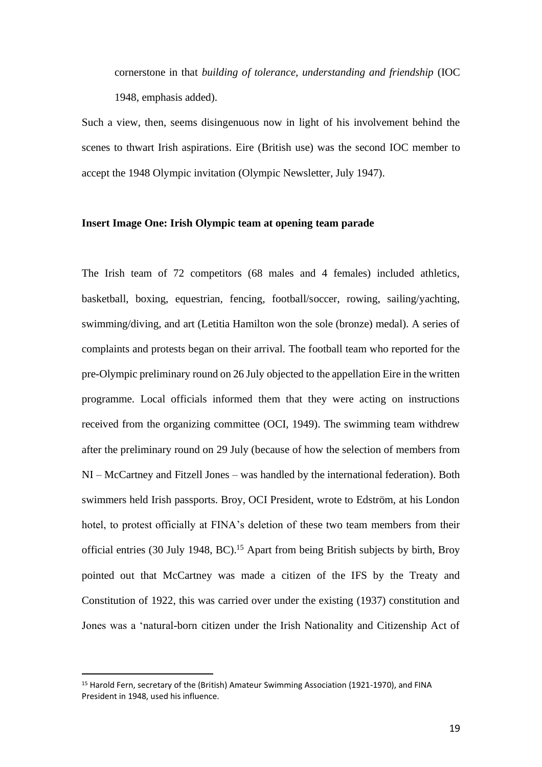cornerstone in that *building of tolerance, understanding and friendship* (IOC 1948, emphasis added).

Such a view, then, seems disingenuous now in light of his involvement behind the scenes to thwart Irish aspirations. Eire (British use) was the second IOC member to accept the 1948 Olympic invitation (Olympic Newsletter, July 1947).

#### **Insert Image One: Irish Olympic team at opening team parade**

The Irish team of 72 competitors (68 males and 4 females) included athletics, basketball, boxing, equestrian, fencing, football/soccer, rowing, sailing/yachting, swimming/diving, and art (Letitia Hamilton won the sole (bronze) medal). A series of complaints and protests began on their arrival. The football team who reported for the pre-Olympic preliminary round on 26 July objected to the appellation Eire in the written programme. Local officials informed them that they were acting on instructions received from the organizing committee (OCI, 1949). The swimming team withdrew after the preliminary round on 29 July (because of how the selection of members from NI – McCartney and Fitzell Jones – was handled by the international federation). Both swimmers held Irish passports. Broy, OCI President, wrote to Edström, at his London hotel, to protest officially at FINA's deletion of these two team members from their official entries (30 July 1948, BC).<sup>15</sup> Apart from being British subjects by birth, Broy pointed out that McCartney was made a citizen of the IFS by the Treaty and Constitution of 1922, this was carried over under the existing (1937) constitution and Jones was a 'natural-born citizen under the Irish Nationality and Citizenship Act of

<sup>15</sup> Harold Fern, secretary of the (British) Amateur Swimming Association (1921-1970), and FINA President in 1948, used his influence.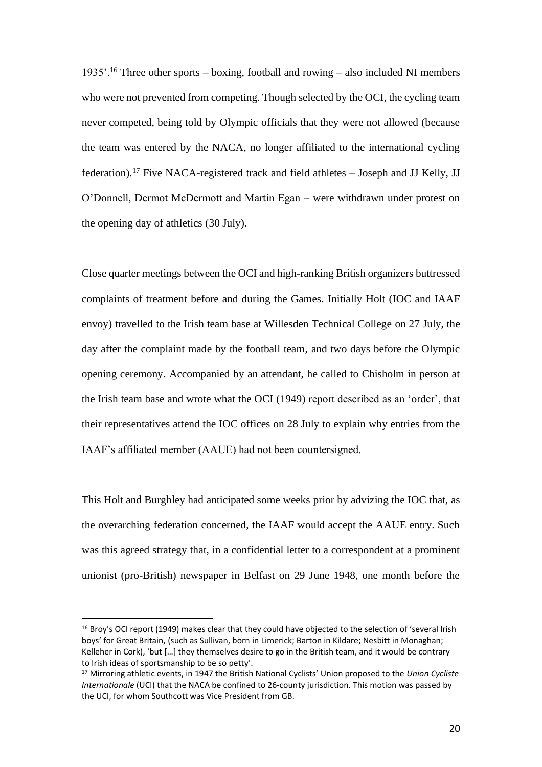1935'.<sup>16</sup> Three other sports – boxing, football and rowing – also included NI members who were not prevented from competing. Though selected by the OCI, the cycling team never competed, being told by Olympic officials that they were not allowed (because the team was entered by the NACA, no longer affiliated to the international cycling federation).<sup>17</sup> Five NACA-registered track and field athletes – Joseph and JJ Kelly, JJ O'Donnell, Dermot McDermott and Martin Egan – were withdrawn under protest on the opening day of athletics (30 July).

Close quarter meetings between the OCI and high-ranking British organizers buttressed complaints of treatment before and during the Games. Initially Holt (IOC and IAAF envoy) travelled to the Irish team base at Willesden Technical College on 27 July, the day after the complaint made by the football team, and two days before the Olympic opening ceremony. Accompanied by an attendant, he called to Chisholm in person at the Irish team base and wrote what the OCI (1949) report described as an 'order', that their representatives attend the IOC offices on 28 July to explain why entries from the IAAF's affiliated member (AAUE) had not been countersigned.

This Holt and Burghley had anticipated some weeks prior by advizing the IOC that, as the overarching federation concerned, the IAAF would accept the AAUE entry. Such was this agreed strategy that, in a confidential letter to a correspondent at a prominent unionist (pro-British) newspaper in Belfast on 29 June 1948, one month before the

<sup>&</sup>lt;sup>16</sup> Broy's OCI report (1949) makes clear that they could have objected to the selection of 'several Irish boys' for Great Britain, (such as Sullivan, born in Limerick; Barton in Kildare; Nesbitt in Monaghan; Kelleher in Cork), 'but […] they themselves desire to go in the British team, and it would be contrary to Irish ideas of sportsmanship to be so petty'.

<sup>17</sup> Mirroring athletic events, in 1947 the British National Cyclists' Union proposed to the *Union Cycliste Internationale* (UCI) that the NACA be confined to 26-county jurisdiction. This motion was passed by the UCI, for whom Southcott was Vice President from GB.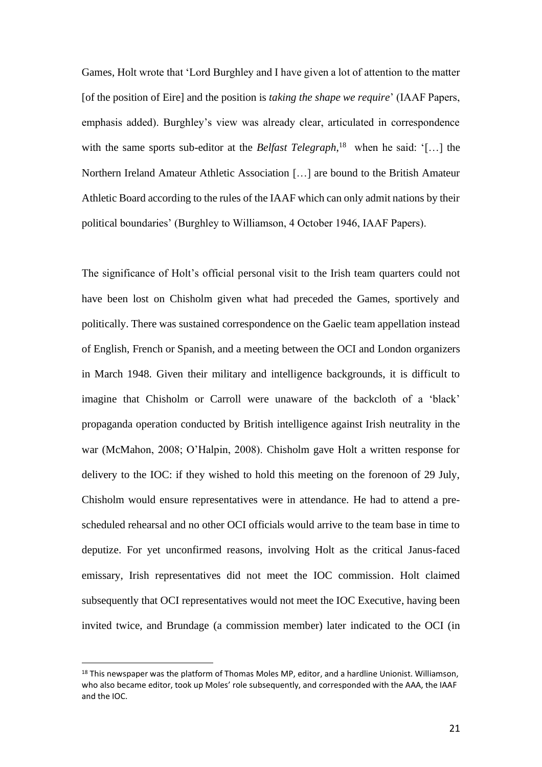Games, Holt wrote that 'Lord Burghley and I have given a lot of attention to the matter [of the position of Eire] and the position is *taking the shape we require*' (IAAF Papers, emphasis added). Burghley's view was already clear, articulated in correspondence with the same sports sub-editor at the *Belfast Telegraph*,<sup>18</sup> when he said: '[...] the Northern Ireland Amateur Athletic Association […] are bound to the British Amateur Athletic Board according to the rules of the IAAF which can only admit nations by their political boundaries' (Burghley to Williamson, 4 October 1946, IAAF Papers).

The significance of Holt's official personal visit to the Irish team quarters could not have been lost on Chisholm given what had preceded the Games, sportively and politically. There was sustained correspondence on the Gaelic team appellation instead of English, French or Spanish, and a meeting between the OCI and London organizers in March 1948. Given their military and intelligence backgrounds, it is difficult to imagine that Chisholm or Carroll were unaware of the backcloth of a 'black' propaganda operation conducted by British intelligence against Irish neutrality in the war (McMahon, 2008; O'Halpin, 2008). Chisholm gave Holt a written response for delivery to the IOC: if they wished to hold this meeting on the forenoon of 29 July, Chisholm would ensure representatives were in attendance. He had to attend a prescheduled rehearsal and no other OCI officials would arrive to the team base in time to deputize. For yet unconfirmed reasons, involving Holt as the critical Janus-faced emissary, Irish representatives did not meet the IOC commission. Holt claimed subsequently that OCI representatives would not meet the IOC Executive, having been invited twice, and Brundage (a commission member) later indicated to the OCI (in

<sup>&</sup>lt;sup>18</sup> This newspaper was the platform of Thomas Moles MP, editor, and a hardline Unionist. Williamson, who also became editor, took up Moles' role subsequently, and corresponded with the AAA, the IAAF and the IOC.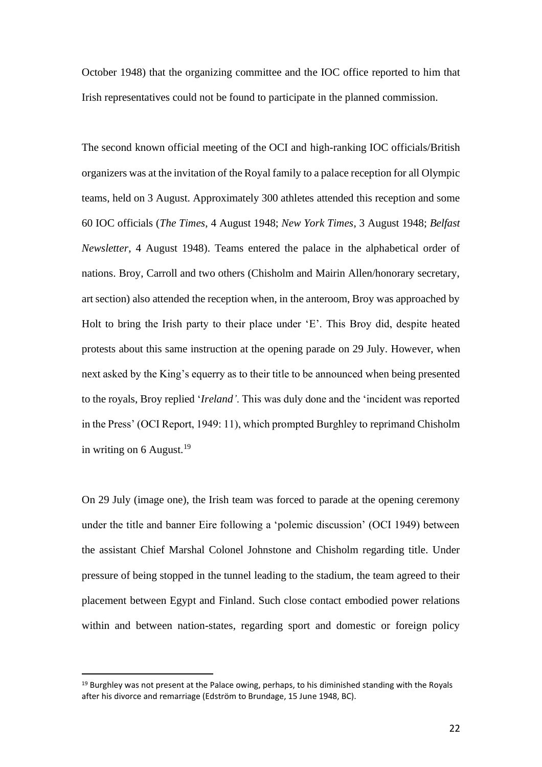October 1948) that the organizing committee and the IOC office reported to him that Irish representatives could not be found to participate in the planned commission.

The second known official meeting of the OCI and high-ranking IOC officials/British organizers was at the invitation of the Royal family to a palace reception for all Olympic teams, held on 3 August. Approximately 300 athletes attended this reception and some 60 IOC officials (*The Times*, 4 August 1948; *New York Times*, 3 August 1948; *Belfast Newsletter*, 4 August 1948). Teams entered the palace in the alphabetical order of nations. Broy, Carroll and two others (Chisholm and Mairin Allen/honorary secretary, art section) also attended the reception when, in the anteroom, Broy was approached by Holt to bring the Irish party to their place under 'E'. This Broy did, despite heated protests about this same instruction at the opening parade on 29 July. However, when next asked by the King's equerry as to their title to be announced when being presented to the royals, Broy replied '*Ireland'*. This was duly done and the 'incident was reported in the Press' (OCI Report, 1949: 11), which prompted Burghley to reprimand Chisholm in writing on  $6$  August.<sup>19</sup>

On 29 July (image one), the Irish team was forced to parade at the opening ceremony under the title and banner Eire following a 'polemic discussion' (OCI 1949) between the assistant Chief Marshal Colonel Johnstone and Chisholm regarding title. Under pressure of being stopped in the tunnel leading to the stadium, the team agreed to their placement between Egypt and Finland. Such close contact embodied power relations within and between nation-states, regarding sport and domestic or foreign policy

 $19$  Burghley was not present at the Palace owing, perhaps, to his diminished standing with the Royals after his divorce and remarriage (Edström to Brundage, 15 June 1948, BC).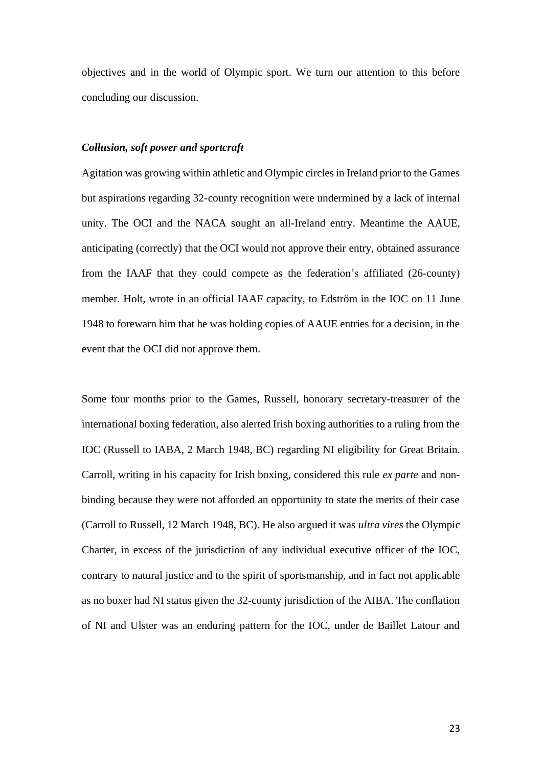objectives and in the world of Olympic sport. We turn our attention to this before concluding our discussion.

#### *Collusion, soft power and sportcraft*

Agitation was growing within athletic and Olympic circles in Ireland prior to the Games but aspirations regarding 32-county recognition were undermined by a lack of internal unity. The OCI and the NACA sought an all-Ireland entry. Meantime the AAUE, anticipating (correctly) that the OCI would not approve their entry, obtained assurance from the IAAF that they could compete as the federation's affiliated (26-county) member. Holt, wrote in an official IAAF capacity, to Edström in the IOC on 11 June 1948 to forewarn him that he was holding copies of AAUE entries for a decision, in the event that the OCI did not approve them.

Some four months prior to the Games, Russell, honorary secretary-treasurer of the international boxing federation, also alerted Irish boxing authorities to a ruling from the IOC (Russell to IABA, 2 March 1948, BC) regarding NI eligibility for Great Britain. Carroll, writing in his capacity for Irish boxing, considered this rule *ex parte* and nonbinding because they were not afforded an opportunity to state the merits of their case (Carroll to Russell, 12 March 1948, BC). He also argued it was *ultra vires* the Olympic Charter, in excess of the jurisdiction of any individual executive officer of the IOC, contrary to natural justice and to the spirit of sportsmanship, and in fact not applicable as no boxer had NI status given the 32-county jurisdiction of the AIBA. The conflation of NI and Ulster was an enduring pattern for the IOC, under de Baillet Latour and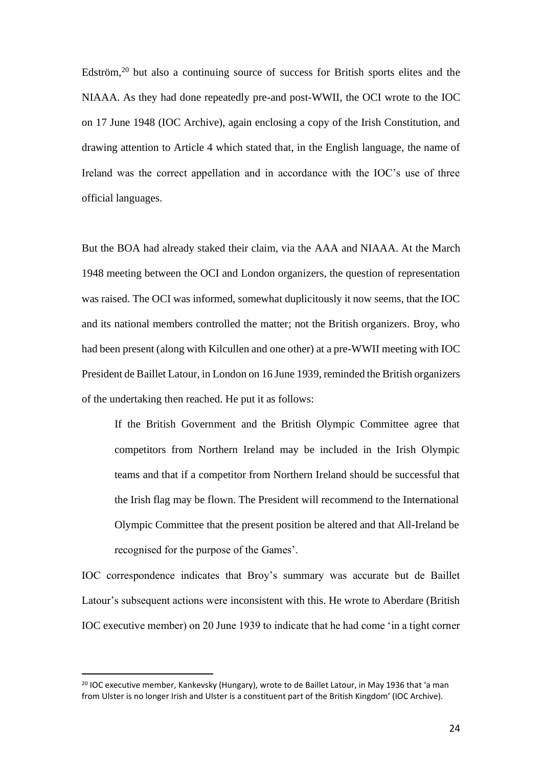Edström,<sup>20</sup> but also a continuing source of success for British sports elites and the NIAAA. As they had done repeatedly pre-and post-WWII, the OCI wrote to the IOC on 17 June 1948 (IOC Archive), again enclosing a copy of the Irish Constitution, and drawing attention to Article 4 which stated that, in the English language, the name of Ireland was the correct appellation and in accordance with the IOC's use of three official languages.

But the BOA had already staked their claim, via the AAA and NIAAA. At the March 1948 meeting between the OCI and London organizers, the question of representation was raised. The OCI was informed, somewhat duplicitously it now seems, that the IOC and its national members controlled the matter; not the British organizers. Broy, who had been present (along with Kilcullen and one other) at a pre-WWII meeting with IOC President de Baillet Latour, in London on 16 June 1939, reminded the British organizers of the undertaking then reached. He put it as follows:

If the British Government and the British Olympic Committee agree that competitors from Northern Ireland may be included in the Irish Olympic teams and that if a competitor from Northern Ireland should be successful that the Irish flag may be flown. The President will recommend to the International Olympic Committee that the present position be altered and that All-Ireland be recognised for the purpose of the Games'.

IOC correspondence indicates that Broy's summary was accurate but de Baillet Latour's subsequent actions were inconsistent with this. He wrote to Aberdare (British IOC executive member) on 20 June 1939 to indicate that he had come 'in a tight corner

<sup>&</sup>lt;sup>20</sup> IOC executive member, Kankevsky (Hungary), wrote to de Baillet Latour, in May 1936 that 'a man from Ulster is no longer Irish and Ulster is a constituent part of the British Kingdom' (IOC Archive).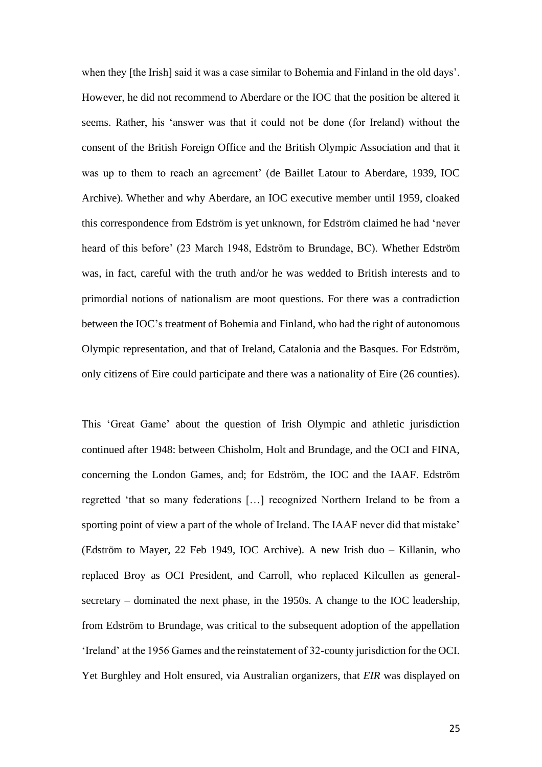when they [the Irish] said it was a case similar to Bohemia and Finland in the old days'. However, he did not recommend to Aberdare or the IOC that the position be altered it seems. Rather, his 'answer was that it could not be done (for Ireland) without the consent of the British Foreign Office and the British Olympic Association and that it was up to them to reach an agreement' (de Baillet Latour to Aberdare, 1939, IOC Archive). Whether and why Aberdare, an IOC executive member until 1959, cloaked this correspondence from Edström is yet unknown, for Edström claimed he had 'never heard of this before' (23 March 1948, Edström to Brundage, BC). Whether Edström was, in fact, careful with the truth and/or he was wedded to British interests and to primordial notions of nationalism are moot questions. For there was a contradiction between the IOC's treatment of Bohemia and Finland, who had the right of autonomous Olympic representation, and that of Ireland, Catalonia and the Basques. For Edström, only citizens of Eire could participate and there was a nationality of Eire (26 counties).

This 'Great Game' about the question of Irish Olympic and athletic jurisdiction continued after 1948: between Chisholm, Holt and Brundage, and the OCI and FINA, concerning the London Games, and; for Edström, the IOC and the IAAF. Edström regretted 'that so many federations […] recognized Northern Ireland to be from a sporting point of view a part of the whole of Ireland. The IAAF never did that mistake' (Edström to Mayer, 22 Feb 1949, IOC Archive). A new Irish duo – Killanin, who replaced Broy as OCI President, and Carroll, who replaced Kilcullen as generalsecretary – dominated the next phase, in the 1950s. A change to the IOC leadership, from Edström to Brundage, was critical to the subsequent adoption of the appellation 'Ireland' at the 1956 Games and the reinstatement of 32-county jurisdiction for the OCI. Yet Burghley and Holt ensured, via Australian organizers, that *EIR* was displayed on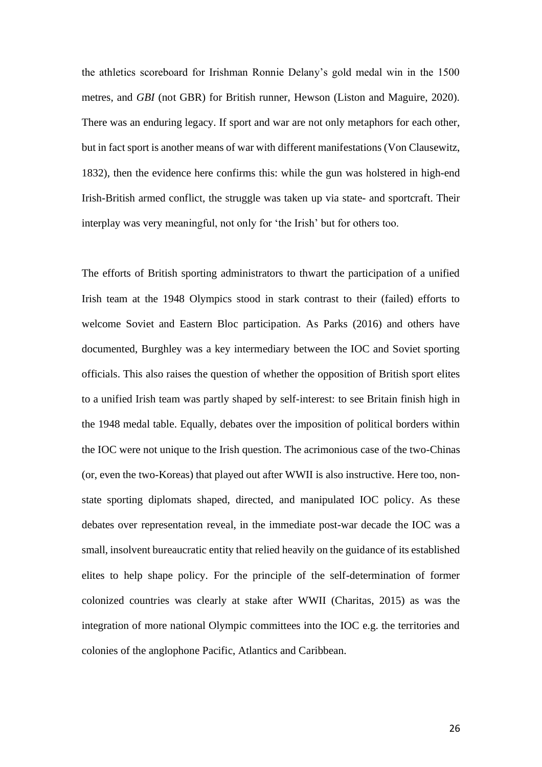the athletics scoreboard for Irishman Ronnie Delany's gold medal win in the 1500 metres, and *GBI* (not GBR) for British runner, Hewson (Liston and Maguire, 2020). There was an enduring legacy. If sport and war are not only metaphors for each other, but in fact sport is another means of war with different manifestations (Von Clausewitz, 1832), then the evidence here confirms this: while the gun was holstered in high-end Irish-British armed conflict, the struggle was taken up via state- and sportcraft. Their interplay was very meaningful, not only for 'the Irish' but for others too.

The efforts of British sporting administrators to thwart the participation of a unified Irish team at the 1948 Olympics stood in stark contrast to their (failed) efforts to welcome Soviet and Eastern Bloc participation. As Parks (2016) and others have documented, Burghley was a key intermediary between the IOC and Soviet sporting officials. This also raises the question of whether the opposition of British sport elites to a unified Irish team was partly shaped by self-interest: to see Britain finish high in the 1948 medal table. Equally, debates over the imposition of political borders within the IOC were not unique to the Irish question. The acrimonious case of the two-Chinas (or, even the two-Koreas) that played out after WWII is also instructive. Here too, nonstate sporting diplomats shaped, directed, and manipulated IOC policy. As these debates over representation reveal, in the immediate post-war decade the IOC was a small, insolvent bureaucratic entity that relied heavily on the guidance of its established elites to help shape policy. For the principle of the self-determination of former colonized countries was clearly at stake after WWII (Charitas, 2015) as was the integration of more national Olympic committees into the IOC e.g. the territories and colonies of the anglophone Pacific, Atlantics and Caribbean.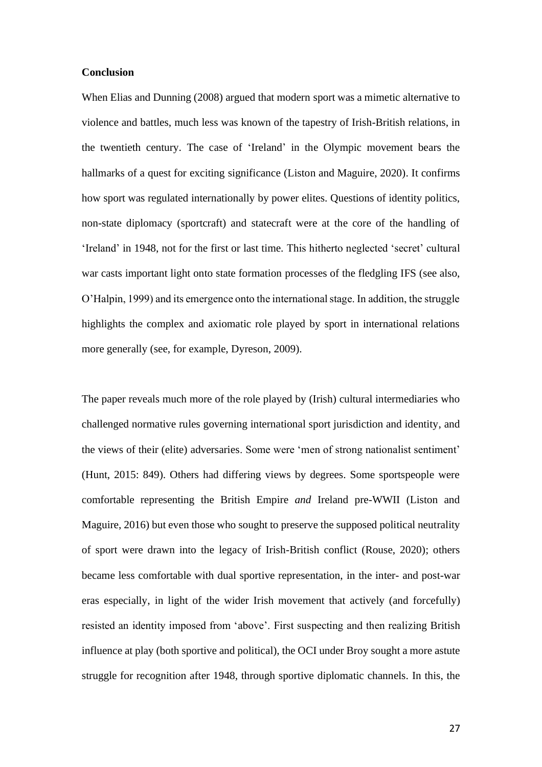#### **Conclusion**

When Elias and Dunning (2008) argued that modern sport was a mimetic alternative to violence and battles, much less was known of the tapestry of Irish-British relations, in the twentieth century. The case of 'Ireland' in the Olympic movement bears the hallmarks of a quest for exciting significance (Liston and Maguire, 2020). It confirms how sport was regulated internationally by power elites. Questions of identity politics, non-state diplomacy (sportcraft) and statecraft were at the core of the handling of 'Ireland' in 1948, not for the first or last time. This hitherto neglected 'secret' cultural war casts important light onto state formation processes of the fledgling IFS (see also, O'Halpin, 1999) and its emergence onto the international stage. In addition, the struggle highlights the complex and axiomatic role played by sport in international relations more generally (see, for example, Dyreson, 2009).

The paper reveals much more of the role played by (Irish) cultural intermediaries who challenged normative rules governing international sport jurisdiction and identity, and the views of their (elite) adversaries. Some were 'men of strong nationalist sentiment' (Hunt, 2015: 849). Others had differing views by degrees. Some sportspeople were comfortable representing the British Empire *and* Ireland pre-WWII (Liston and Maguire, 2016) but even those who sought to preserve the supposed political neutrality of sport were drawn into the legacy of Irish-British conflict (Rouse, 2020); others became less comfortable with dual sportive representation, in the inter- and post-war eras especially, in light of the wider Irish movement that actively (and forcefully) resisted an identity imposed from 'above'. First suspecting and then realizing British influence at play (both sportive and political), the OCI under Broy sought a more astute struggle for recognition after 1948, through sportive diplomatic channels. In this, the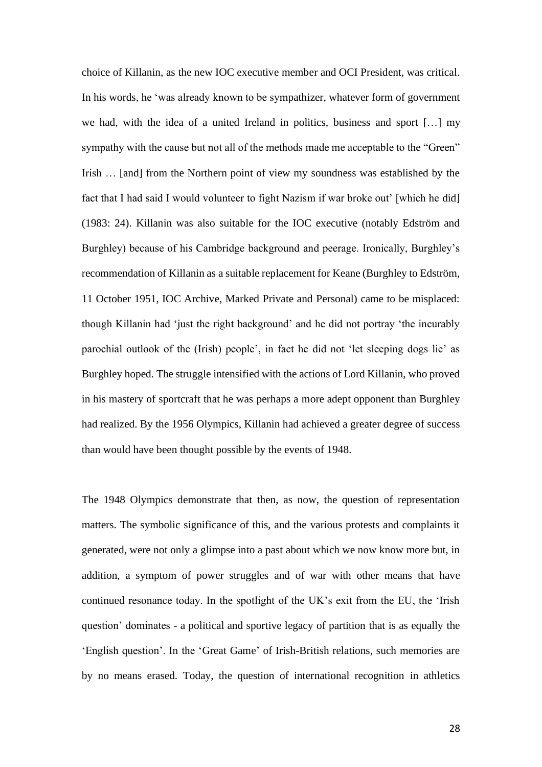choice of Killanin, as the new IOC executive member and OCI President, was critical. In his words, he 'was already known to be sympathizer, whatever form of government we had, with the idea of a united Ireland in politics, business and sport […] my sympathy with the cause but not all of the methods made me acceptable to the "Green" Irish … [and] from the Northern point of view my soundness was established by the fact that I had said I would volunteer to fight Nazism if war broke out' [which he did] (1983: 24). Killanin was also suitable for the IOC executive (notably Edström and Burghley) because of his Cambridge background and peerage. Ironically, Burghley's recommendation of Killanin as a suitable replacement for Keane (Burghley to Edström, 11 October 1951, IOC Archive, Marked Private and Personal) came to be misplaced: though Killanin had 'just the right background' and he did not portray 'the incurably parochial outlook of the (Irish) people', in fact he did not 'let sleeping dogs lie' as Burghley hoped. The struggle intensified with the actions of Lord Killanin, who proved in his mastery of sportcraft that he was perhaps a more adept opponent than Burghley had realized. By the 1956 Olympics, Killanin had achieved a greater degree of success than would have been thought possible by the events of 1948.

The 1948 Olympics demonstrate that then, as now, the question of representation matters. The symbolic significance of this, and the various protests and complaints it generated, were not only a glimpse into a past about which we now know more but, in addition, a symptom of power struggles and of war with other means that have continued resonance today. In the spotlight of the UK's exit from the EU, the 'Irish question' dominates - a political and sportive legacy of partition that is as equally the 'English question'. In the 'Great Game' of Irish-British relations, such memories are by no means erased. Today, the question of international recognition in athletics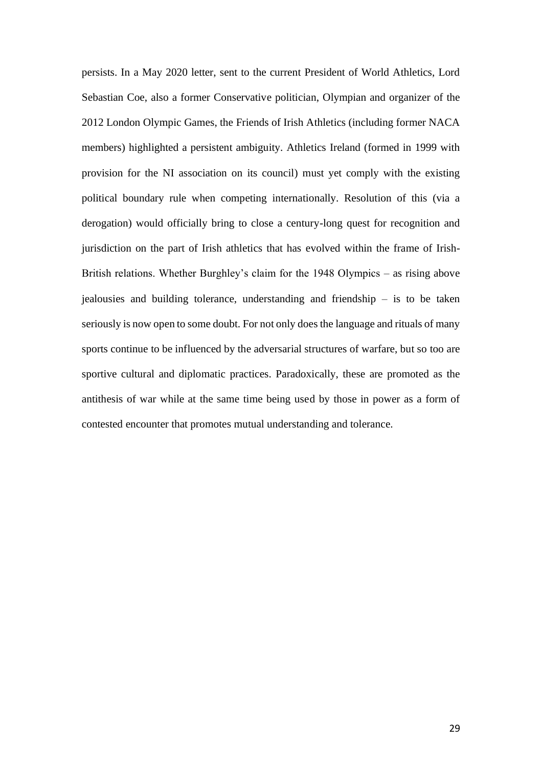persists. In a May 2020 letter, sent to the current President of World Athletics, Lord Sebastian Coe, also a former Conservative politician, Olympian and organizer of the 2012 London Olympic Games, the Friends of Irish Athletics (including former NACA members) highlighted a persistent ambiguity. Athletics Ireland (formed in 1999 with provision for the NI association on its council) must yet comply with the existing political boundary rule when competing internationally. Resolution of this (via a derogation) would officially bring to close a century-long quest for recognition and jurisdiction on the part of Irish athletics that has evolved within the frame of Irish-British relations. Whether Burghley's claim for the 1948 Olympics – as rising above jealousies and building tolerance, understanding and friendship – is to be taken seriously is now open to some doubt. For not only does the language and rituals of many sports continue to be influenced by the adversarial structures of warfare, but so too are sportive cultural and diplomatic practices. Paradoxically, these are promoted as the antithesis of war while at the same time being used by those in power as a form of contested encounter that promotes mutual understanding and tolerance.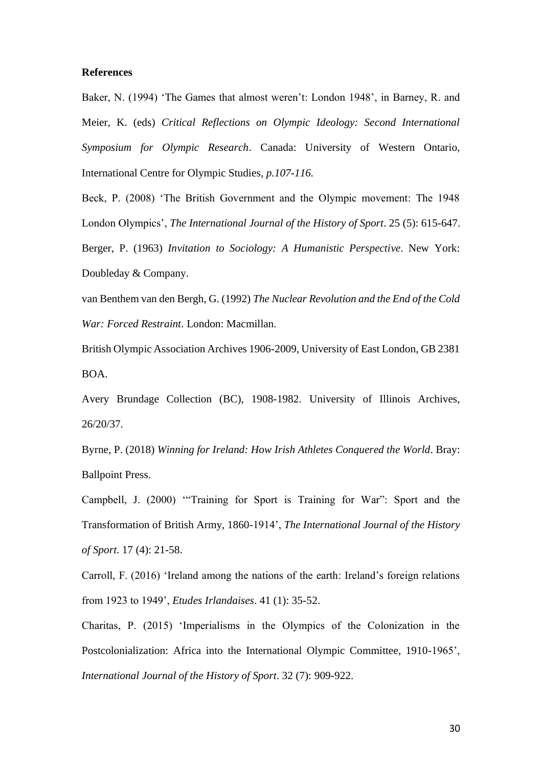#### **References**

Baker, N. (1994) 'The Games that almost weren't: London 1948', in Barney, R. and Meier, K. (eds) *Critical Reflections on Olympic Ideology: Second International Symposium for Olympic Research*. Canada: University of Western Ontario, International Centre for Olympic Studies*, p.107-116.* 

Beck, P. (2008) 'The British Government and the Olympic movement: The 1948 London Olympics', *The International Journal of the History of Sport*. 25 (5): 615-647. Berger, P. (1963) *Invitation to Sociology: A Humanistic Perspective*. New York: Doubleday & Company.

van Benthem van den Bergh, G. (1992) *The Nuclear Revolution and the End of the Cold War: Forced Restraint*. London: Macmillan.

British Olympic Association Archives 1906-2009, University of East London, GB 2381 BOA.

Avery Brundage Collection (BC), 1908-1982. University of Illinois Archives, 26/20/37.

Byrne, P. (2018) *Winning for Ireland: How Irish Athletes Conquered the World*. Bray: Ballpoint Press.

Campbell, J. (2000) '"Training for Sport is Training for War": Sport and the Transformation of British Army, 1860-1914', *The International Journal of the History of Sport*. 17 (4): 21-58.

Carroll, F. (2016) 'Ireland among the nations of the earth: Ireland's foreign relations from 1923 to 1949', *Etudes Irlandaises*. 41 (1): 35-52.

Charitas, P. (2015) 'Imperialisms in the Olympics of the Colonization in the Postcolonialization: Africa into the International Olympic Committee, 1910-1965', *International Journal of the History of Sport*. 32 (7): 909-922.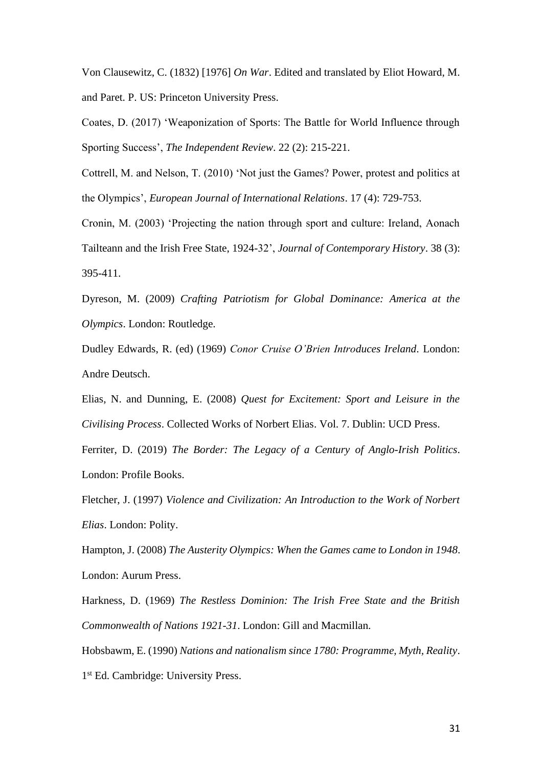Von Clausewitz, C. (1832) [1976] *On War*. Edited and translated by Eliot Howard, M. and Paret. P. US: Princeton University Press.

Coates, D. (2017) 'Weaponization of Sports: The Battle for World Influence through Sporting Success', *The Independent Review*. 22 (2): 215-221.

Cottrell, M. and Nelson, T. (2010) 'Not just the Games? Power, protest and politics at the Olympics', *European Journal of International Relations*. 17 (4): 729-753.

Cronin, M. (2003) 'Projecting the nation through sport and culture: Ireland, Aonach Tailteann and the Irish Free State, 1924-32', *Journal of Contemporary History*. 38 (3): 395-411.

Dyreson, M. (2009) *Crafting Patriotism for Global Dominance: America at the Olympics*. London: Routledge.

Dudley Edwards, R. (ed) (1969) *Conor Cruise O'Brien Introduces Ireland*. London: Andre Deutsch.

Elias, N. and Dunning, E. (2008) *Quest for Excitement: Sport and Leisure in the Civilising Process*. Collected Works of Norbert Elias. Vol. 7. Dublin: UCD Press.

Ferriter, D. (2019) *The Border: The Legacy of a Century of Anglo-Irish Politics*. London: Profile Books.

Fletcher, J. (1997) *Violence and Civilization: An Introduction to the Work of Norbert Elias*. London: Polity.

Hampton, J. (2008) *The Austerity Olympics: When the Games came to London in 1948*. London: Aurum Press.

Harkness, D. (1969) *The Restless Dominion: The Irish Free State and the British Commonwealth of Nations 1921-31*. London: Gill and Macmillan.

Hobsbawm, E. (1990) *Nations and nationalism since 1780: Programme, Myth, Reality*. 1 st Ed. Cambridge: University Press.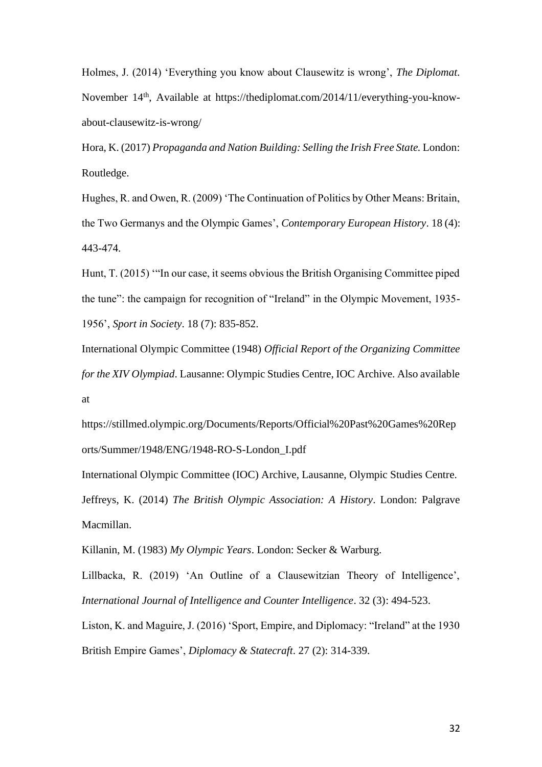Holmes, J. (2014) 'Everything you know about Clausewitz is wrong', *The Diplomat*. November 14th, Available at https://thediplomat.com/2014/11/everything-you-knowabout-clausewitz-is-wrong/

Hora, K. (2017) *Propaganda and Nation Building: Selling the Irish Free State.* London: Routledge.

Hughes, R. and Owen, R. (2009) 'The Continuation of Politics by Other Means: Britain, the Two Germanys and the Olympic Games', *Contemporary European History*. 18 (4): 443-474.

Hunt, T. (2015) '"In our case, it seems obvious the British Organising Committee piped the tune": the campaign for recognition of "Ireland" in the Olympic Movement, 1935- 1956', *Sport in Society*. 18 (7): 835-852.

International Olympic Committee (1948) *Official Report of the Organizing Committee for the XIV Olympiad*. Lausanne: Olympic Studies Centre, IOC Archive. Also available at

https://stillmed.olympic.org/Documents/Reports/Official%20Past%20Games%20Rep orts/Summer/1948/ENG/1948-RO-S-London\_I.pdf

International Olympic Committee (IOC) Archive, Lausanne, Olympic Studies Centre. Jeffreys, K. (2014) *The British Olympic Association: A History*. London: Palgrave Macmillan.

Killanin, M. (1983) *My Olympic Years*. London: Secker & Warburg.

Lillbacka, R. (2019) 'An Outline of a Clausewitzian Theory of Intelligence', *International Journal of Intelligence and Counter Intelligence*. 32 (3): 494-523.

Liston, K. and Maguire, J. (2016) 'Sport, Empire, and Diplomacy: "Ireland" at the 1930 British Empire Games', *Diplomacy & Statecraft*. 27 (2): 314-339.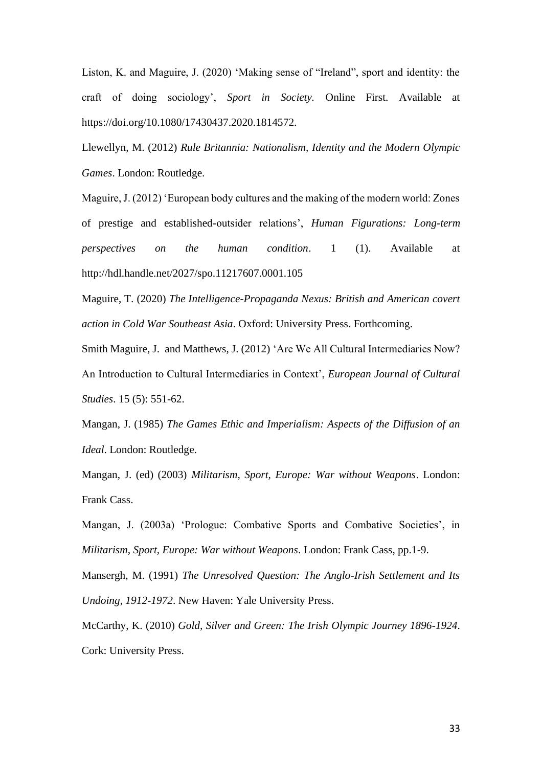Liston, K. and Maguire, J. (2020) 'Making sense of "Ireland", sport and identity: the craft of doing sociology', *Sport in Society.* Online First. Available at https://doi.org/10.1080/17430437.2020.1814572.

Llewellyn, M. (2012) *Rule Britannia: Nationalism, Identity and the Modern Olympic Games*. London: Routledge.

Maguire, J. (2012) 'European body cultures and the making of the modern world: Zones of prestige and established-outsider relations', *Human Figurations: Long-term perspectives on the human condition*. 1 (1). Available at http://hdl.handle.net/2027/spo.11217607.0001.105

Maguire, T. (2020) *The Intelligence-Propaganda Nexus: British and American covert action in Cold War Southeast Asia*. Oxford: University Press. Forthcoming.

Smith Maguire, J. and Matthews, J. (2012) 'Are We All Cultural Intermediaries Now? An Introduction to Cultural Intermediaries in Context', *European Journal of Cultural Studies*. 15 (5): 551-62.

Mangan, J. (1985) *The Games Ethic and Imperialism: Aspects of the Diffusion of an Ideal*. London: Routledge.

Mangan, J. (ed) (2003) *Militarism, Sport, Europe: War without Weapons*. London: Frank Cass.

Mangan, J. (2003a) 'Prologue: Combative Sports and Combative Societies', in *Militarism, Sport, Europe: War without Weapons*. London: Frank Cass, pp.1-9.

Mansergh, M. (1991) *The Unresolved Question: The Anglo-Irish Settlement and Its Undoing, 1912-1972*. New Haven: Yale University Press.

McCarthy, K. (2010) *Gold, Silver and Green: The Irish Olympic Journey 1896-1924*. Cork: University Press.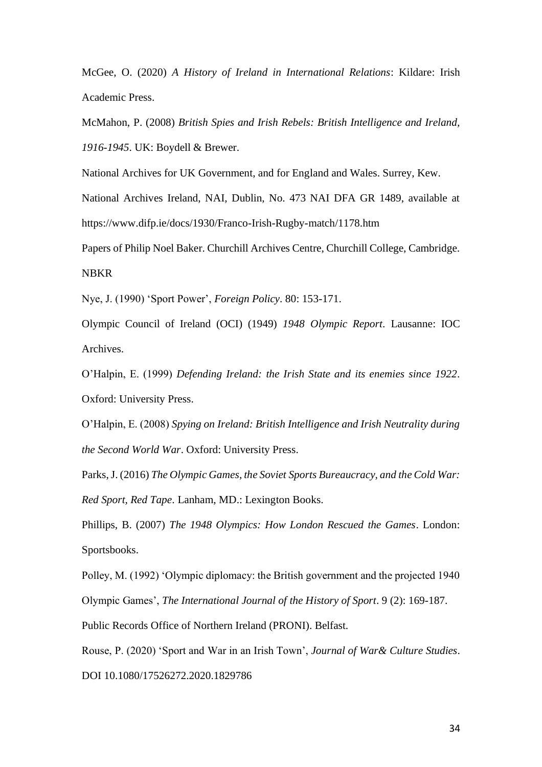McGee, O. (2020) *A History of Ireland in International Relations*: Kildare: Irish Academic Press.

McMahon, P. (2008) *British Spies and Irish Rebels: British Intelligence and Ireland, 1916-1945*. UK: Boydell & Brewer.

National Archives for UK Government, and for England and Wales. Surrey, Kew.

National Archives Ireland, NAI, Dublin, No. 473 NAI DFA GR 1489, available at https://www.difp.ie/docs/1930/Franco-Irish-Rugby-match/1178.htm

Papers of Philip Noel Baker. Churchill Archives Centre, Churchill College, Cambridge. NBKR

Nye, J. (1990) 'Sport Power', *Foreign Policy*. 80: 153-171.

Olympic Council of Ireland (OCI) (1949) *1948 Olympic Report*. Lausanne: IOC Archives.

O'Halpin, E. (1999) *Defending Ireland: the Irish State and its enemies since 1922*. Oxford: University Press.

O'Halpin, E. (2008) *Spying on Ireland: British Intelligence and Irish Neutrality during the Second World War*. Oxford: University Press.

Parks, J. (2016) *The Olympic Games, the Soviet Sports Bureaucracy, and the Cold War: Red Sport, Red Tape*. Lanham, MD.: Lexington Books.

Phillips, B. (2007) *The 1948 Olympics: How London Rescued the Games*. London: Sportsbooks.

Polley, M. (1992) 'Olympic diplomacy: the British government and the projected 1940 Olympic Games', *The International Journal of the History of Sport*. 9 (2): 169-187.

Public Records Office of Northern Ireland (PRONI). Belfast.

Rouse, P. (2020) 'Sport and War in an Irish Town', *Journal of War& Culture Studies*. DOI 10.1080/17526272.2020.1829786